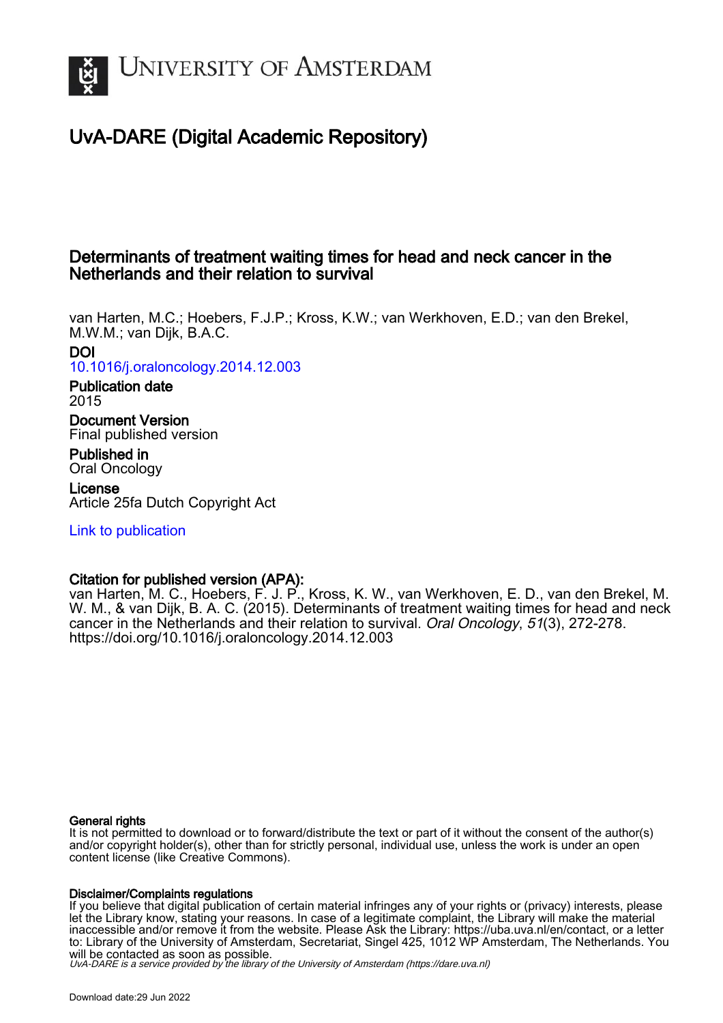

# UvA-DARE (Digital Academic Repository)

# Determinants of treatment waiting times for head and neck cancer in the Netherlands and their relation to survival

van Harten, M.C.; Hoebers, F.J.P.; Kross, K.W.; van Werkhoven, E.D.; van den Brekel, M.W.M.; van Dijk, B.A.C. DOI

[10.1016/j.oraloncology.2014.12.003](https://doi.org/10.1016/j.oraloncology.2014.12.003)

Publication date 2015

Document Version Final published version

Published in Oral Oncology

License Article 25fa Dutch Copyright Act

[Link to publication](https://dare.uva.nl/personal/pure/en/publications/determinants-of-treatment-waiting-times-for-head-and-neck-cancer-in-the-netherlands-and-their-relation-to-survival(82555038-ce94-4f6d-be8e-fa7000a4ab73).html)

# Citation for published version (APA):

van Harten, M. C., Hoebers, F. J. P., Kross, K. W., van Werkhoven, E. D., van den Brekel, M. W. M., & van Dijk, B. A. C. (2015). Determinants of treatment waiting times for head and neck cancer in the Netherlands and their relation to survival. Oral Oncology, 51(3), 272-278. <https://doi.org/10.1016/j.oraloncology.2014.12.003>

# General rights

It is not permitted to download or to forward/distribute the text or part of it without the consent of the author(s) and/or copyright holder(s), other than for strictly personal, individual use, unless the work is under an open content license (like Creative Commons).

# Disclaimer/Complaints regulations

If you believe that digital publication of certain material infringes any of your rights or (privacy) interests, please let the Library know, stating your reasons. In case of a legitimate complaint, the Library will make the material inaccessible and/or remove it from the website. Please Ask the Library: https://uba.uva.nl/en/contact, or a letter to: Library of the University of Amsterdam, Secretariat, Singel 425, 1012 WP Amsterdam, The Netherlands. You will be contacted as soon as possible.

UvA-DARE is a service provided by the library of the University of Amsterdam (http*s*://dare.uva.nl)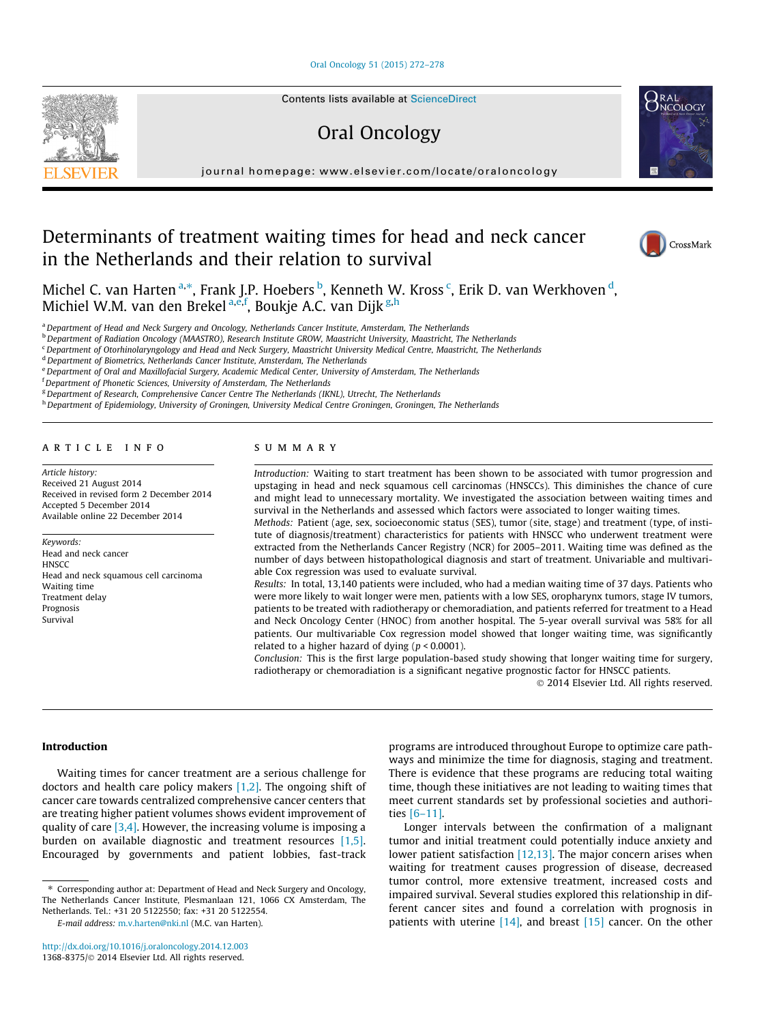#### [Oral Oncology 51 \(2015\) 272–278](http://dx.doi.org/10.1016/j.oraloncology.2014.12.003)

Contents lists available at [ScienceDirect](http://www.sciencedirect.com/science/journal/13688375)

# Oral Oncology

journal homepage: [www.elsevier.com/locate/oraloncology](http://www.elsevier.com/locate/oraloncology)

# Determinants of treatment waiting times for head and neck cancer in the Netherlands and their relation to survival



**NCOLOGY** 

Michel C. van Harten<sup>a,</sup>\*, Frank J.P. Hoebers <sup>b</sup>, Kenneth W. Kross <sup>c</sup>, Erik D. van Werkhoven <sup>d</sup>, Michiel W.M. van den Brekel <sup>a,e,f</sup>, Boukje A.C. van Dijk <sup>g,h</sup>

a Department of Head and Neck Surgery and Oncology, Netherlands Cancer Institute, Amsterdam, The Netherlands

<sup>b</sup> Department of Radiation Oncology (MAASTRO), Research Institute GROW, Maastricht University, Maastricht, The Netherlands

<sup>c</sup> Department of Otorhinolaryngology and Head and Neck Surgery, Maastricht University Medical Centre, Maastricht, The Netherlands

<sup>d</sup> Department of Biometrics, Netherlands Cancer Institute, Amsterdam, The Netherlands

e Department of Oral and Maxillofacial Surgery, Academic Medical Center, University of Amsterdam, The Netherlands

<sup>f</sup> Department of Phonetic Sciences, University of Amsterdam, The Netherlands

<sup>g</sup> Department of Research, Comprehensive Cancer Centre The Netherlands (IKNL), Utrecht, The Netherlands

h Department of Epidemiology, University of Groningen, University Medical Centre Groningen, Groningen, The Netherlands

### article info

Article history: Received 21 August 2014 Received in revised form 2 December 2014 Accepted 5 December 2014 Available online 22 December 2014

Keywords: Head and neck cancer **HNSCC** Head and neck squamous cell carcinoma Waiting time Treatment delay Prognosis Survival

# summary

Introduction: Waiting to start treatment has been shown to be associated with tumor progression and upstaging in head and neck squamous cell carcinomas (HNSCCs). This diminishes the chance of cure and might lead to unnecessary mortality. We investigated the association between waiting times and survival in the Netherlands and assessed which factors were associated to longer waiting times.

Methods: Patient (age, sex, socioeconomic status (SES), tumor (site, stage) and treatment (type, of institute of diagnosis/treatment) characteristics for patients with HNSCC who underwent treatment were extracted from the Netherlands Cancer Registry (NCR) for 2005–2011. Waiting time was defined as the number of days between histopathological diagnosis and start of treatment. Univariable and multivariable Cox regression was used to evaluate survival.

Results: In total, 13,140 patients were included, who had a median waiting time of 37 days. Patients who were more likely to wait longer were men, patients with a low SES, oropharynx tumors, stage IV tumors, patients to be treated with radiotherapy or chemoradiation, and patients referred for treatment to a Head and Neck Oncology Center (HNOC) from another hospital. The 5-year overall survival was 58% for all patients. Our multivariable Cox regression model showed that longer waiting time, was significantly related to a higher hazard of dying ( $p < 0.0001$ ).

Conclusion: This is the first large population-based study showing that longer waiting time for surgery, radiotherapy or chemoradiation is a significant negative prognostic factor for HNSCC patients.

- 2014 Elsevier Ltd. All rights reserved.

## Introduction

Waiting times for cancer treatment are a serious challenge for doctors and health care policy makers [\[1,2\].](#page-7-0) The ongoing shift of cancer care towards centralized comprehensive cancer centers that are treating higher patient volumes shows evident improvement of quality of care  $[3,4]$ . However, the increasing volume is imposing a burden on available diagnostic and treatment resources [\[1,5\].](#page-7-0) Encouraged by governments and patient lobbies, fast-track

E-mail address: [m.v.harten@nki.nl](mailto:m.v.harten@nki.nl) (M.C. van Harten).

programs are introduced throughout Europe to optimize care pathways and minimize the time for diagnosis, staging and treatment. There is evidence that these programs are reducing total waiting time, though these initiatives are not leading to waiting times that meet current standards set by professional societies and authorities [\[6–11\].](#page-7-0)

Longer intervals between the confirmation of a malignant tumor and initial treatment could potentially induce anxiety and lower patient satisfaction [\[12,13\]](#page-7-0). The major concern arises when waiting for treatment causes progression of disease, decreased tumor control, more extensive treatment, increased costs and impaired survival. Several studies explored this relationship in different cancer sites and found a correlation with prognosis in patients with uterine  $[14]$ , and breast  $[15]$  cancer. On the other



<sup>⇑</sup> Corresponding author at: Department of Head and Neck Surgery and Oncology, The Netherlands Cancer Institute, Plesmanlaan 121, 1066 CX Amsterdam, The Netherlands. Tel.: +31 20 5122550; fax: +31 20 5122554.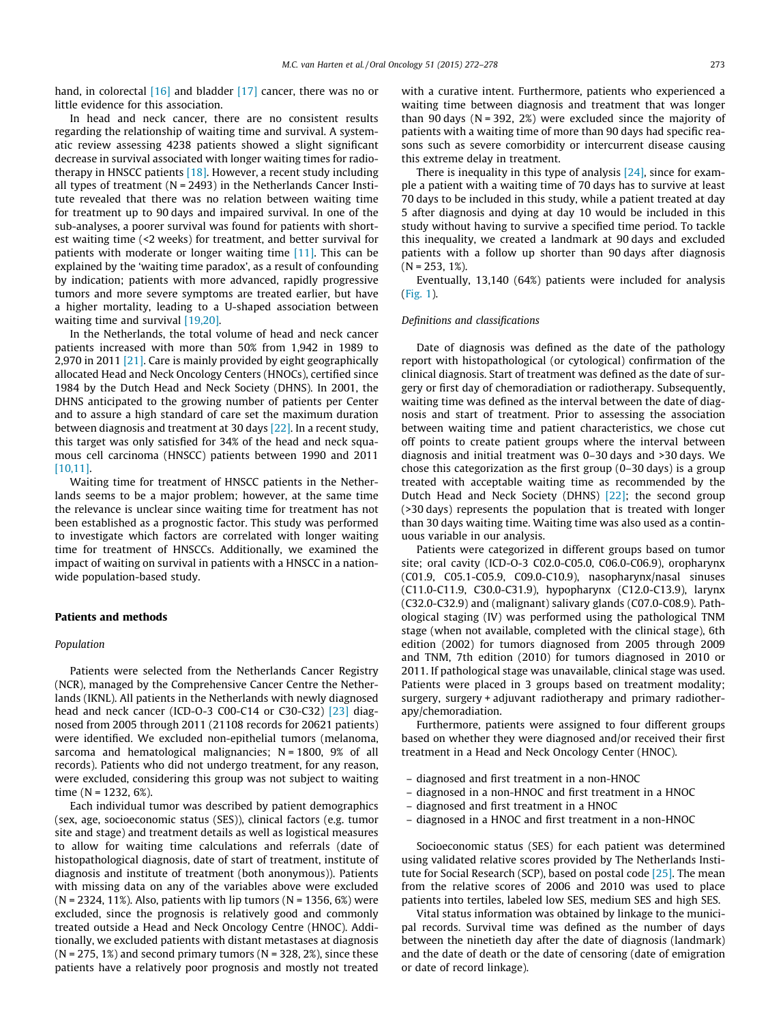hand, in colorectal [\[16\]](#page-7-0) and bladder [\[17\]](#page-7-0) cancer, there was no or little evidence for this association.

In head and neck cancer, there are no consistent results regarding the relationship of waiting time and survival. A systematic review assessing 4238 patients showed a slight significant decrease in survival associated with longer waiting times for radiotherapy in HNSCC patients [\[18\]](#page-7-0). However, a recent study including all types of treatment ( $N = 2493$ ) in the Netherlands Cancer Institute revealed that there was no relation between waiting time for treatment up to 90 days and impaired survival. In one of the sub-analyses, a poorer survival was found for patients with shortest waiting time (<2 weeks) for treatment, and better survival for patients with moderate or longer waiting time [\[11\].](#page-7-0) This can be explained by the 'waiting time paradox', as a result of confounding by indication; patients with more advanced, rapidly progressive tumors and more severe symptoms are treated earlier, but have a higher mortality, leading to a U-shaped association between waiting time and survival [\[19,20\].](#page-7-0)

In the Netherlands, the total volume of head and neck cancer patients increased with more than 50% from 1,942 in 1989 to 2,970 in 2011 [\[21\]](#page-7-0). Care is mainly provided by eight geographically allocated Head and Neck Oncology Centers (HNOCs), certified since 1984 by the Dutch Head and Neck Society (DHNS). In 2001, the DHNS anticipated to the growing number of patients per Center and to assure a high standard of care set the maximum duration between diagnosis and treatment at 30 days [\[22\]](#page-7-0). In a recent study, this target was only satisfied for 34% of the head and neck squamous cell carcinoma (HNSCC) patients between 1990 and 2011 [\[10,11\]](#page-7-0).

Waiting time for treatment of HNSCC patients in the Netherlands seems to be a major problem; however, at the same time the relevance is unclear since waiting time for treatment has not been established as a prognostic factor. This study was performed to investigate which factors are correlated with longer waiting time for treatment of HNSCCs. Additionally, we examined the impact of waiting on survival in patients with a HNSCC in a nationwide population-based study.

#### Patients and methods

#### Population

Patients were selected from the Netherlands Cancer Registry (NCR), managed by the Comprehensive Cancer Centre the Netherlands (IKNL). All patients in the Netherlands with newly diagnosed head and neck cancer (ICD-O-3 C00-C14 or C30-C32) [\[23\]](#page-7-0) diagnosed from 2005 through 2011 (21108 records for 20621 patients) were identified. We excluded non-epithelial tumors (melanoma, sarcoma and hematological malignancies; N = 1800, 9% of all records). Patients who did not undergo treatment, for any reason, were excluded, considering this group was not subject to waiting time (N = 1232, 6%).

Each individual tumor was described by patient demographics (sex, age, socioeconomic status (SES)), clinical factors (e.g. tumor site and stage) and treatment details as well as logistical measures to allow for waiting time calculations and referrals (date of histopathological diagnosis, date of start of treatment, institute of diagnosis and institute of treatment (both anonymous)). Patients with missing data on any of the variables above were excluded  $(N = 2324, 11\%)$ . Also, patients with lip tumors  $(N = 1356, 6\%)$  were excluded, since the prognosis is relatively good and commonly treated outside a Head and Neck Oncology Centre (HNOC). Additionally, we excluded patients with distant metastases at diagnosis  $(N = 275, 1\%)$  and second primary tumors  $(N = 328, 2\%)$ , since these patients have a relatively poor prognosis and mostly not treated with a curative intent. Furthermore, patients who experienced a waiting time between diagnosis and treatment that was longer than 90 days ( $N = 392, 2\%)$  were excluded since the majority of patients with a waiting time of more than 90 days had specific reasons such as severe comorbidity or intercurrent disease causing this extreme delay in treatment.

There is inequality in this type of analysis [\[24\],](#page-7-0) since for example a patient with a waiting time of 70 days has to survive at least 70 days to be included in this study, while a patient treated at day 5 after diagnosis and dying at day 10 would be included in this study without having to survive a specified time period. To tackle this inequality, we created a landmark at 90 days and excluded patients with a follow up shorter than 90 days after diagnosis  $(N = 253, 1\%)$ .

Eventually, 13,140 (64%) patients were included for analysis ([Fig. 1\)](#page-3-0).

#### Definitions and classifications

Date of diagnosis was defined as the date of the pathology report with histopathological (or cytological) confirmation of the clinical diagnosis. Start of treatment was defined as the date of surgery or first day of chemoradiation or radiotherapy. Subsequently, waiting time was defined as the interval between the date of diagnosis and start of treatment. Prior to assessing the association between waiting time and patient characteristics, we chose cut off points to create patient groups where the interval between diagnosis and initial treatment was 0–30 days and >30 days. We chose this categorization as the first group (0–30 days) is a group treated with acceptable waiting time as recommended by the Dutch Head and Neck Society (DHNS) [\[22\]](#page-7-0); the second group (>30 days) represents the population that is treated with longer than 30 days waiting time. Waiting time was also used as a continuous variable in our analysis.

Patients were categorized in different groups based on tumor site; oral cavity (ICD-O-3 C02.0-C05.0, C06.0-C06.9), oropharynx (C01.9, C05.1-C05.9, C09.0-C10.9), nasopharynx/nasal sinuses (C11.0-C11.9, C30.0-C31.9), hypopharynx (C12.0-C13.9), larynx (C32.0-C32.9) and (malignant) salivary glands (C07.0-C08.9). Pathological staging (IV) was performed using the pathological TNM stage (when not available, completed with the clinical stage), 6th edition (2002) for tumors diagnosed from 2005 through 2009 and TNM, 7th edition (2010) for tumors diagnosed in 2010 or 2011. If pathological stage was unavailable, clinical stage was used. Patients were placed in 3 groups based on treatment modality; surgery, surgery + adjuvant radiotherapy and primary radiotherapy/chemoradiation.

Furthermore, patients were assigned to four different groups based on whether they were diagnosed and/or received their first treatment in a Head and Neck Oncology Center (HNOC).

- diagnosed and first treatment in a non-HNOC
- diagnosed in a non-HNOC and first treatment in a HNOC
- diagnosed and first treatment in a HNOC
- diagnosed in a HNOC and first treatment in a non-HNOC

Socioeconomic status (SES) for each patient was determined using validated relative scores provided by The Netherlands Institute for Social Research (SCP), based on postal code [\[25\]](#page-7-0). The mean from the relative scores of 2006 and 2010 was used to place patients into tertiles, labeled low SES, medium SES and high SES.

Vital status information was obtained by linkage to the municipal records. Survival time was defined as the number of days between the ninetieth day after the date of diagnosis (landmark) and the date of death or the date of censoring (date of emigration or date of record linkage).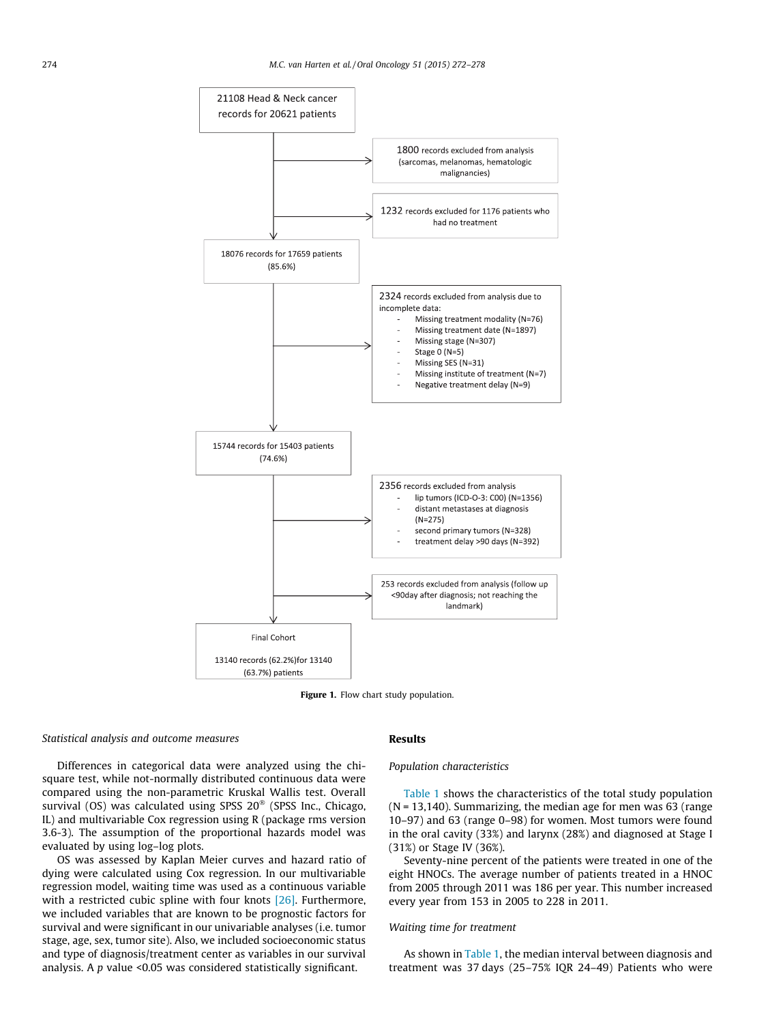<span id="page-3-0"></span>

Figure 1. Flow chart study population.

## Statistical analysis and outcome measures

Differences in categorical data were analyzed using the chisquare test, while not-normally distributed continuous data were compared using the non-parametric Kruskal Wallis test. Overall survival (OS) was calculated using SPSS  $20^\circ$  (SPSS Inc., Chicago, IL) and multivariable Cox regression using R (package rms version 3.6-3). The assumption of the proportional hazards model was evaluated by using log–log plots.

OS was assessed by Kaplan Meier curves and hazard ratio of dying were calculated using Cox regression. In our multivariable regression model, waiting time was used as a continuous variable with a restricted cubic spline with four knots  $[26]$ . Furthermore, we included variables that are known to be prognostic factors for survival and were significant in our univariable analyses (i.e. tumor stage, age, sex, tumor site). Also, we included socioeconomic status and type of diagnosis/treatment center as variables in our survival analysis. A  $p$  value <0.05 was considered statistically significant.

## Results

### Population characteristics

[Table 1](#page-4-0) shows the characteristics of the total study population (N = 13,140). Summarizing, the median age for men was 63 (range 10–97) and 63 (range 0–98) for women. Most tumors were found in the oral cavity (33%) and larynx (28%) and diagnosed at Stage I (31%) or Stage IV (36%).

Seventy-nine percent of the patients were treated in one of the eight HNOCs. The average number of patients treated in a HNOC from 2005 through 2011 was 186 per year. This number increased every year from 153 in 2005 to 228 in 2011.

# Waiting time for treatment

As shown in [Table 1,](#page-4-0) the median interval between diagnosis and treatment was 37 days (25–75% IQR 24–49) Patients who were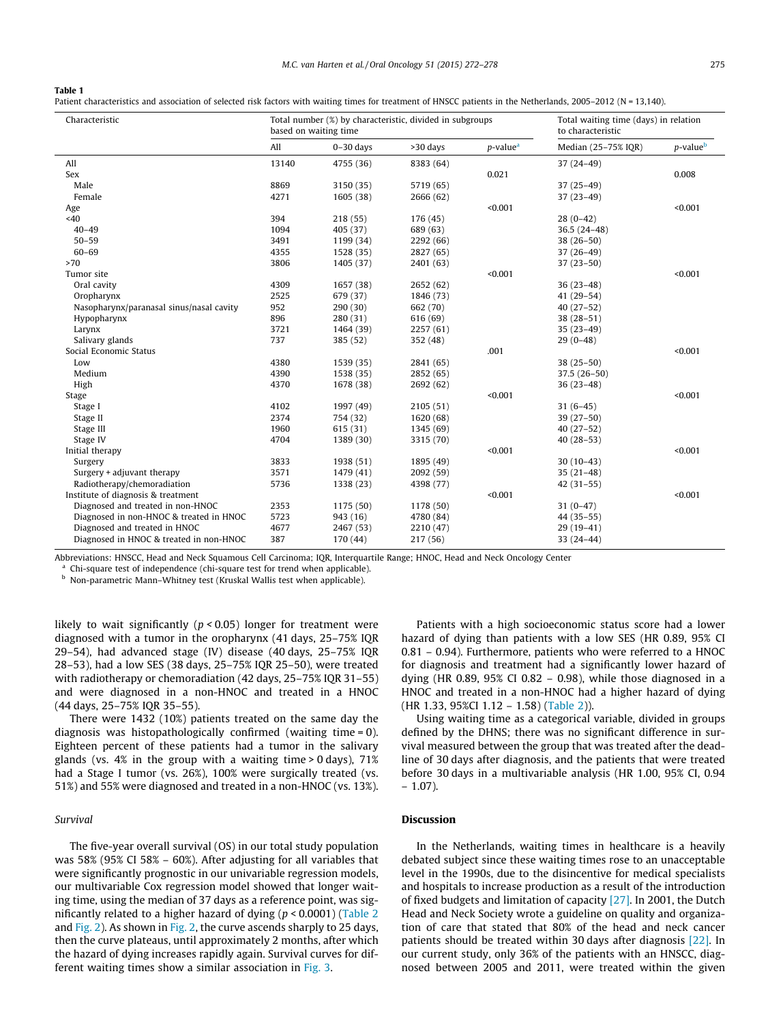#### <span id="page-4-0"></span>Table 1

Patient characteristics and association of selected risk factors with waiting times for treatment of HNSCC patients in the Netherlands, 2005-2012 (N = 13,140).

| Characteristic                           |       | Total number (%) by characteristic, divided in subgroups<br>based on waiting time |           | Total waiting time (days) in relation<br>to characteristic |                     |                          |
|------------------------------------------|-------|-----------------------------------------------------------------------------------|-----------|------------------------------------------------------------|---------------------|--------------------------|
|                                          | All   | $0-30$ days                                                                       | >30 days  | p-value <sup>a</sup>                                       | Median (25-75% IQR) | $p$ -value $\frac{b}{2}$ |
| All                                      | 13140 | 4755 (36)                                                                         | 8383 (64) |                                                            | $37(24-49)$         |                          |
| Sex                                      |       |                                                                                   |           | 0.021                                                      |                     | 0.008                    |
| Male                                     | 8869  | 3150 (35)                                                                         | 5719 (65) |                                                            | $37(25-49)$         |                          |
| Female                                   | 4271  | 1605 (38)                                                                         | 2666 (62) |                                                            | $37(23-49)$         |                          |
| Age                                      |       |                                                                                   |           | < 0.001                                                    |                     | < 0.001                  |
| <40                                      | 394   | 218 (55)                                                                          | 176(45)   |                                                            | $28(0-42)$          |                          |
| $40 - 49$                                | 1094  | 405 (37)                                                                          | 689 (63)  |                                                            | $36.5(24-48)$       |                          |
| $50 - 59$                                | 3491  | 1199 (34)                                                                         | 2292 (66) |                                                            | $38(26-50)$         |                          |
| $60 - 69$                                | 4355  | 1528 (35)                                                                         | 2827 (65) |                                                            | $37(26-49)$         |                          |
| >70                                      | 3806  | 1405 (37)                                                                         | 2401 (63) |                                                            | $37(23-50)$         |                          |
| Tumor site                               |       |                                                                                   |           | < 0.001                                                    |                     | < 0.001                  |
| Oral cavity                              | 4309  | 1657 (38)                                                                         | 2652 (62) |                                                            | $36(23-48)$         |                          |
| Oropharynx                               | 2525  | 679 (37)                                                                          | 1846 (73) |                                                            | $41(29-54)$         |                          |
| Nasopharynx/paranasal sinus/nasal cavity | 952   | 290 (30)                                                                          | 662 (70)  |                                                            | $40(27-52)$         |                          |
| Hypopharynx                              | 896   | 280 (31)                                                                          | 616 (69)  |                                                            | $38(28-51)$         |                          |
| Larynx                                   | 3721  | 1464 (39)                                                                         | 2257 (61) |                                                            | $35(23-49)$         |                          |
| Salivary glands                          | 737   | 385 (52)                                                                          | 352 (48)  |                                                            | $29(0-48)$          |                          |
| Social Economic Status                   |       |                                                                                   |           | .001                                                       |                     | < 0.001                  |
| Low                                      | 4380  | 1539 (35)                                                                         | 2841 (65) |                                                            | $38(25-50)$         |                          |
| Medium                                   | 4390  | 1538 (35)                                                                         | 2852 (65) |                                                            | $37.5(26-50)$       |                          |
| High                                     | 4370  | 1678 (38)                                                                         | 2692 (62) |                                                            | $36(23-48)$         |                          |
| Stage                                    |       |                                                                                   |           | < 0.001                                                    |                     | < 0.001                  |
| Stage I                                  | 4102  | 1997 (49)                                                                         | 2105(51)  |                                                            | $31(6-45)$          |                          |
| Stage II                                 | 2374  | 754 (32)                                                                          | 1620 (68) |                                                            | $39(27-50)$         |                          |
| Stage III                                | 1960  | 615 (31)                                                                          | 1345 (69) |                                                            | $40(27-52)$         |                          |
| Stage IV                                 | 4704  | 1389 (30)                                                                         | 3315 (70) |                                                            | $40(28-53)$         |                          |
| Initial therapy                          |       |                                                                                   |           | < 0.001                                                    |                     | < 0.001                  |
| Surgery                                  | 3833  | 1938 (51)                                                                         | 1895 (49) |                                                            | $30(10-43)$         |                          |
| Surgery + adjuvant therapy               | 3571  | 1479 (41)                                                                         | 2092 (59) |                                                            | $35(21-48)$         |                          |
| Radiotherapy/chemoradiation              | 5736  | 1338 (23)                                                                         | 4398 (77) |                                                            | $42(31-55)$         |                          |
| Institute of diagnosis & treatment       |       |                                                                                   |           | < 0.001                                                    |                     | < 0.001                  |
| Diagnosed and treated in non-HNOC        | 2353  | 1175 (50)                                                                         | 1178 (50) |                                                            | $31(0-47)$          |                          |
| Diagnosed in non-HNOC & treated in HNOC  | 5723  | 943 (16)                                                                          | 4780 (84) |                                                            | $44(35-55)$         |                          |
| Diagnosed and treated in HNOC            | 4677  | 2467 (53)                                                                         | 2210 (47) |                                                            | $29(19-41)$         |                          |
| Diagnosed in HNOC & treated in non-HNOC  | 387   | 170 (44)                                                                          | 217 (56)  |                                                            | $33(24-44)$         |                          |

Abbreviations: HNSCC, Head and Neck Squamous Cell Carcinoma; IQR, Interquartile Range; HNOC, Head and Neck Oncology Center

Chi-square test of independence (chi-square test for trend when applicable).

b Non-parametric Mann–Whitney test (Kruskal Wallis test when applicable).

likely to wait significantly ( $p < 0.05$ ) longer for treatment were diagnosed with a tumor in the oropharynx (41 days, 25–75% IQR 29–54), had advanced stage (IV) disease (40 days, 25–75% IQR 28–53), had a low SES (38 days, 25–75% IQR 25–50), were treated with radiotherapy or chemoradiation (42 days, 25–75% IQR 31–55) and were diagnosed in a non-HNOC and treated in a HNOC (44 days, 25–75% IQR 35–55).

There were 1432 (10%) patients treated on the same day the diagnosis was histopathologically confirmed (waiting time = 0). Eighteen percent of these patients had a tumor in the salivary glands (vs.  $4\%$  in the group with a waiting time > 0 days),  $71\%$ had a Stage I tumor (vs. 26%), 100% were surgically treated (vs. 51%) and 55% were diagnosed and treated in a non-HNOC (vs. 13%).

# Survival

The five-year overall survival (OS) in our total study population was 58% (95% CI 58% – 60%). After adjusting for all variables that were significantly prognostic in our univariable regression models, our multivariable Cox regression model showed that longer waiting time, using the median of 37 days as a reference point, was significantly related to a higher hazard of dying ( $p < 0.0001$ ) ([Table 2](#page-5-0) and [Fig. 2](#page-5-0)). As shown in [Fig. 2,](#page-5-0) the curve ascends sharply to 25 days, then the curve plateaus, until approximately 2 months, after which the hazard of dying increases rapidly again. Survival curves for different waiting times show a similar association in [Fig. 3](#page-6-0).

Patients with a high socioeconomic status score had a lower hazard of dying than patients with a low SES (HR 0.89, 95% CI 0.81 – 0.94). Furthermore, patients who were referred to a HNOC for diagnosis and treatment had a significantly lower hazard of dying (HR 0.89, 95% CI 0.82 – 0.98), while those diagnosed in a HNOC and treated in a non-HNOC had a higher hazard of dying (HR 1.33, 95%CI 1.12 – 1.58) [\(Table 2\)](#page-5-0)).

Using waiting time as a categorical variable, divided in groups defined by the DHNS; there was no significant difference in survival measured between the group that was treated after the deadline of 30 days after diagnosis, and the patients that were treated before 30 days in a multivariable analysis (HR 1.00, 95% CI, 0.94  $-1.07$ ).

# Discussion

In the Netherlands, waiting times in healthcare is a heavily debated subject since these waiting times rose to an unacceptable level in the 1990s, due to the disincentive for medical specialists and hospitals to increase production as a result of the introduction of fixed budgets and limitation of capacity [\[27\]](#page-7-0). In 2001, the Dutch Head and Neck Society wrote a guideline on quality and organization of care that stated that 80% of the head and neck cancer patients should be treated within 30 days after diagnosis [\[22\]](#page-7-0). In our current study, only 36% of the patients with an HNSCC, diagnosed between 2005 and 2011, were treated within the given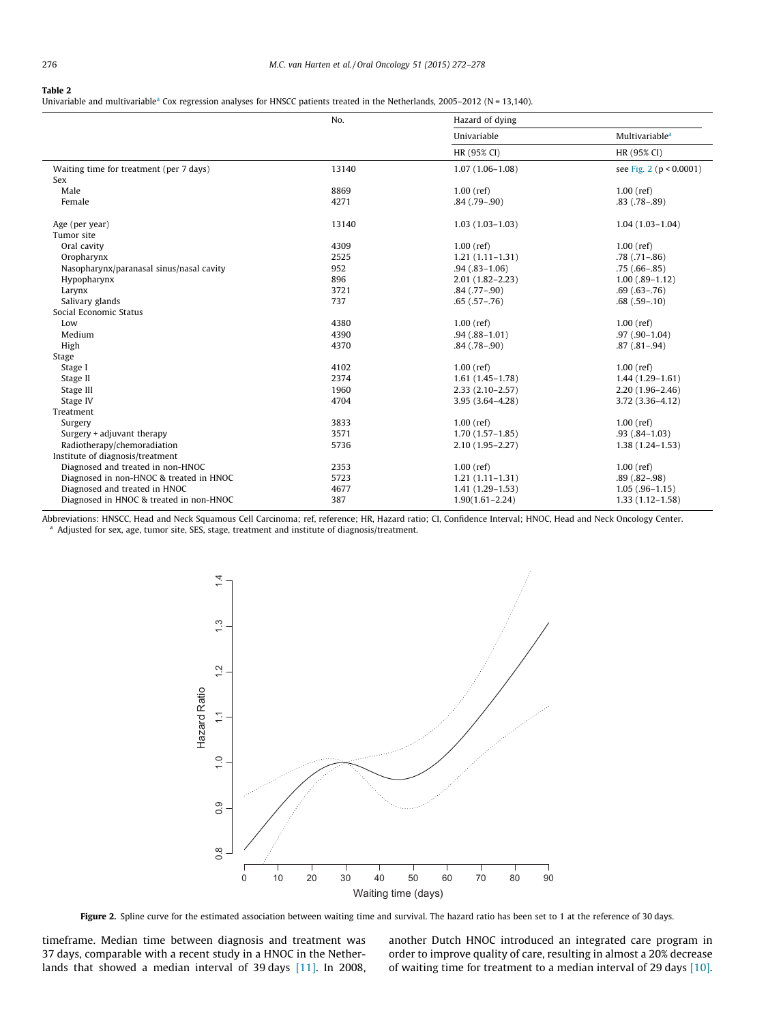#### <span id="page-5-0"></span>Table 2

Univariable and multivariable<sup>a</sup> Cox regression analyses for HNSCC patients treated in the Netherlands, 2005-2012 (N = 13,140).

|                                          | No.   | Hazard of dying     |                             |  |
|------------------------------------------|-------|---------------------|-----------------------------|--|
|                                          |       | Univariable         | Multivariable <sup>a</sup>  |  |
|                                          |       | HR (95% CI)         | HR (95% CI)                 |  |
| Waiting time for treatment (per 7 days)  | 13140 | $1.07(1.06 - 1.08)$ | see Fig. 2 ( $p < 0.0001$ ) |  |
| Sex                                      |       |                     |                             |  |
| Male                                     | 8869  | $1.00$ (ref)        | $1.00$ (ref)                |  |
| Female                                   | 4271  | $.84(.79-.90)$      | $.83$ $(.78 - .89)$         |  |
| Age (per year)                           | 13140 | $1.03(1.03 - 1.03)$ | $1.04(1.03-1.04)$           |  |
| Tumor site                               |       |                     |                             |  |
| Oral cavity                              | 4309  | $1.00$ (ref)        | $1.00$ (ref)                |  |
| Oropharynx                               | 2525  | $1.21(1.11 - 1.31)$ | $.78$ $(.71 - .86)$         |  |
| Nasopharynx/paranasal sinus/nasal cavity | 952   | $.94(.83 - 1.06)$   | $.75(.66-.85)$              |  |
| Hypopharynx                              | 896   | $2.01(1.82 - 2.23)$ | $1.00$ $(.89-1.12)$         |  |
| Larynx                                   | 3721  | $.84$ $(.77-.90)$   | $.69(.63-.76)$              |  |
| Salivary glands                          | 737   | $.65(.57-.76)$      | $.68(.59-.10)$              |  |
| Social Economic Status                   |       |                     |                             |  |
| Low                                      | 4380  | $1.00$ (ref)        | $1.00$ (ref)                |  |
| Medium                                   | 4390  | $.94(.88-1.01)$     | $.97(.90-1.04)$             |  |
| High                                     | 4370  | $.84(.78-.90)$      | $.87(.81-.94)$              |  |
| Stage                                    |       |                     |                             |  |
| Stage I                                  | 4102  | $1.00$ (ref)        | $1.00$ (ref)                |  |
| Stage II                                 | 2374  | $1.61(1.45-1.78)$   | $1.44(1.29-1.61)$           |  |
| Stage III                                | 1960  | $2.33(2.10-2.57)$   | $2.20(1.96 - 2.46)$         |  |
| Stage IV                                 | 4704  | $3.95(3.64 - 4.28)$ | $3.72(3.36 - 4.12)$         |  |
| Treatment                                |       |                     |                             |  |
| Surgery                                  | 3833  | $1.00$ (ref)        | $1.00$ (ref)                |  |
| Surgery + adjuvant therapy               | 3571  | $1.70(1.57-1.85)$   | $.93(.84-1.03)$             |  |
| Radiotherapy/chemoradiation              | 5736  | $2.10(1.95 - 2.27)$ | $1.38(1.24 - 1.53)$         |  |
| Institute of diagnosis/treatment         |       |                     |                             |  |
| Diagnosed and treated in non-HNOC        | 2353  | $1.00$ (ref)        | $1.00$ (ref)                |  |
| Diagnosed in non-HNOC & treated in HNOC  | 5723  | $1.21(1.11-1.31)$   | $.89(.82-.98)$              |  |
| Diagnosed and treated in HNOC            | 4677  | $1.41(1.29-1.53)$   | $1.05$ (.96-1.15)           |  |
| Diagnosed in HNOC & treated in non-HNOC  | 387   | $1.90(1.61 - 2.24)$ | $1.33(1.12 - 1.58)$         |  |

Abbreviations: HNSCC, Head and Neck Squamous Cell Carcinoma; ref, reference; HR, Hazard ratio; CI, Confidence Interval; HNOC, Head and Neck Oncology Center. <sup>a</sup> Adjusted for sex, age, tumor site, SES, stage, treatment and institute of diagnosis/treatment.



Figure 2. Spline curve for the estimated association between waiting time and survival. The hazard ratio has been set to 1 at the reference of 30 days.

timeframe. Median time between diagnosis and treatment was 37 days, comparable with a recent study in a HNOC in the Netherlands that showed a median interval of 39 days [\[11\]](#page-7-0). In 2008, another Dutch HNOC introduced an integrated care program in order to improve quality of care, resulting in almost a 20% decrease of waiting time for treatment to a median interval of 29 days [\[10\].](#page-7-0)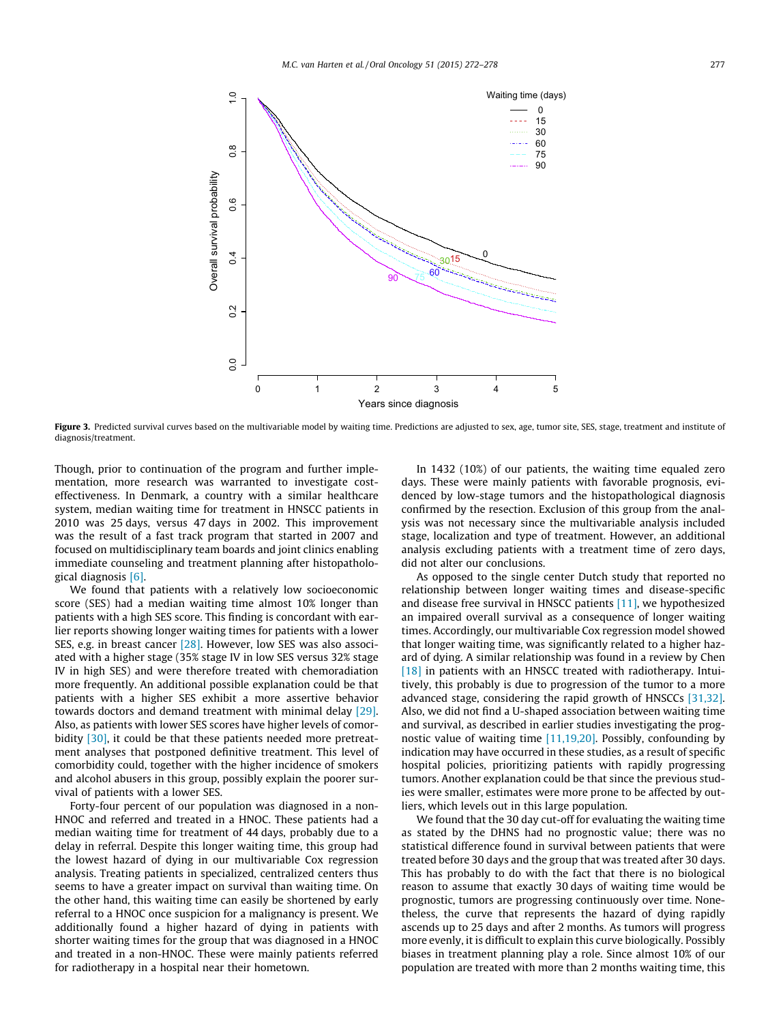<span id="page-6-0"></span>

Figure 3. Predicted survival curves based on the multivariable model by waiting time. Predictions are adjusted to sex, age, tumor site, SES, stage, treatment and institute of diagnosis/treatment.

Though, prior to continuation of the program and further implementation, more research was warranted to investigate costeffectiveness. In Denmark, a country with a similar healthcare system, median waiting time for treatment in HNSCC patients in 2010 was 25 days, versus 47 days in 2002. This improvement was the result of a fast track program that started in 2007 and focused on multidisciplinary team boards and joint clinics enabling immediate counseling and treatment planning after histopathological diagnosis [\[6\]](#page-7-0).

We found that patients with a relatively low socioeconomic score (SES) had a median waiting time almost 10% longer than patients with a high SES score. This finding is concordant with earlier reports showing longer waiting times for patients with a lower SES, e.g. in breast cancer [\[28\]](#page-7-0). However, low SES was also associated with a higher stage (35% stage IV in low SES versus 32% stage IV in high SES) and were therefore treated with chemoradiation more frequently. An additional possible explanation could be that patients with a higher SES exhibit a more assertive behavior towards doctors and demand treatment with minimal delay [\[29\].](#page-7-0) Also, as patients with lower SES scores have higher levels of comor-bidity [\[30\],](#page-7-0) it could be that these patients needed more pretreatment analyses that postponed definitive treatment. This level of comorbidity could, together with the higher incidence of smokers and alcohol abusers in this group, possibly explain the poorer survival of patients with a lower SES.

Forty-four percent of our population was diagnosed in a non-HNOC and referred and treated in a HNOC. These patients had a median waiting time for treatment of 44 days, probably due to a delay in referral. Despite this longer waiting time, this group had the lowest hazard of dying in our multivariable Cox regression analysis. Treating patients in specialized, centralized centers thus seems to have a greater impact on survival than waiting time. On the other hand, this waiting time can easily be shortened by early referral to a HNOC once suspicion for a malignancy is present. We additionally found a higher hazard of dying in patients with shorter waiting times for the group that was diagnosed in a HNOC and treated in a non-HNOC. These were mainly patients referred for radiotherapy in a hospital near their hometown.

In 1432 (10%) of our patients, the waiting time equaled zero days. These were mainly patients with favorable prognosis, evidenced by low-stage tumors and the histopathological diagnosis confirmed by the resection. Exclusion of this group from the analysis was not necessary since the multivariable analysis included stage, localization and type of treatment. However, an additional analysis excluding patients with a treatment time of zero days, did not alter our conclusions.

As opposed to the single center Dutch study that reported no relationship between longer waiting times and disease-specific and disease free survival in HNSCC patients [\[11\]](#page-7-0), we hypothesized an impaired overall survival as a consequence of longer waiting times. Accordingly, our multivariable Cox regression model showed that longer waiting time, was significantly related to a higher hazard of dying. A similar relationship was found in a review by Chen [\[18\]](#page-7-0) in patients with an HNSCC treated with radiotherapy. Intuitively, this probably is due to progression of the tumor to a more advanced stage, considering the rapid growth of HNSCCs [\[31,32\].](#page-7-0) Also, we did not find a U-shaped association between waiting time and survival, as described in earlier studies investigating the prognostic value of waiting time [\[11,19,20\].](#page-7-0) Possibly, confounding by indication may have occurred in these studies, as a result of specific hospital policies, prioritizing patients with rapidly progressing tumors. Another explanation could be that since the previous studies were smaller, estimates were more prone to be affected by outliers, which levels out in this large population.

We found that the 30 day cut-off for evaluating the waiting time as stated by the DHNS had no prognostic value; there was no statistical difference found in survival between patients that were treated before 30 days and the group that was treated after 30 days. This has probably to do with the fact that there is no biological reason to assume that exactly 30 days of waiting time would be prognostic, tumors are progressing continuously over time. Nonetheless, the curve that represents the hazard of dying rapidly ascends up to 25 days and after 2 months. As tumors will progress more evenly, it is difficult to explain this curve biologically. Possibly biases in treatment planning play a role. Since almost 10% of our population are treated with more than 2 months waiting time, this